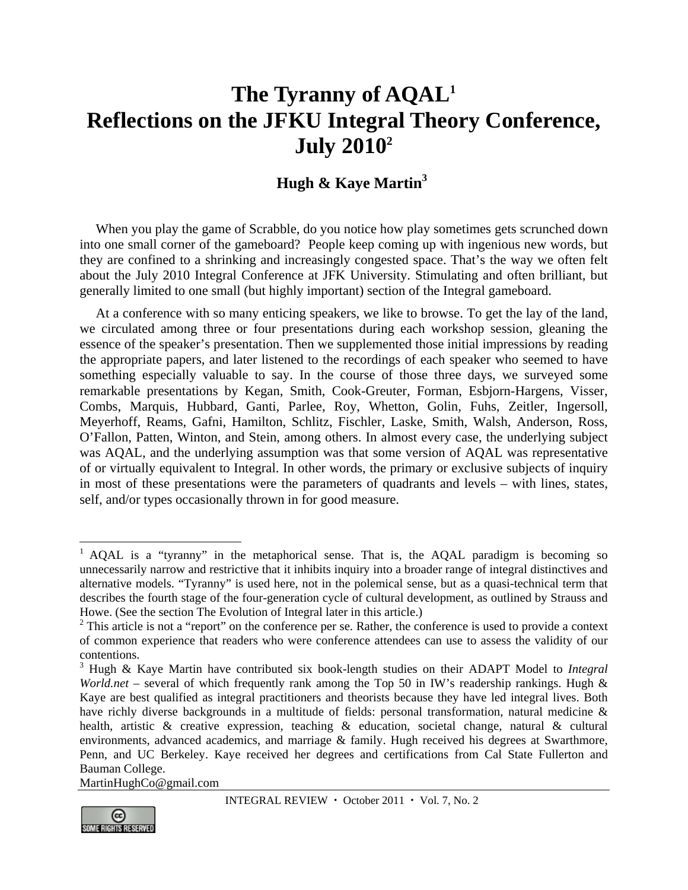# **The Tyranny of AQAL1 Reflections on the JFKU Integral Theory Conference, July 20102**

## **Hugh & Kaye Martin<sup>3</sup>**

When you play the game of Scrabble, do you notice how play sometimes gets scrunched down into one small corner of the gameboard? People keep coming up with ingenious new words, but they are confined to a shrinking and increasingly congested space. That's the way we often felt about the July 2010 Integral Conference at JFK University. Stimulating and often brilliant, but generally limited to one small (but highly important) section of the Integral gameboard.

At a conference with so many enticing speakers, we like to browse. To get the lay of the land, we circulated among three or four presentations during each workshop session, gleaning the essence of the speaker's presentation. Then we supplemented those initial impressions by reading the appropriate papers, and later listened to the recordings of each speaker who seemed to have something especially valuable to say. In the course of those three days, we surveyed some remarkable presentations by Kegan, Smith, Cook-Greuter, Forman, Esbjorn-Hargens, Visser, Combs, Marquis, Hubbard, Ganti, Parlee, Roy, Whetton, Golin, Fuhs, Zeitler, Ingersoll, Meyerhoff, Reams, Gafni, Hamilton, Schlitz, Fischler, Laske, Smith, Walsh, Anderson, Ross, O'Fallon, Patten, Winton, and Stein, among others. In almost every case, the underlying subject was AQAL, and the underlying assumption was that some version of AQAL was representative of or virtually equivalent to Integral. In other words, the primary or exclusive subjects of inquiry in most of these presentations were the parameters of quadrants and levels – with lines, states, self, and/or types occasionally thrown in for good measure.

MartinHughCo@gmail.com



 $\overline{a}$ 

 $1$  AQAL is a "tyranny" in the metaphorical sense. That is, the AQAL paradigm is becoming so unnecessarily narrow and restrictive that it inhibits inquiry into a broader range of integral distinctives and alternative models. "Tyranny" is used here, not in the polemical sense, but as a quasi-technical term that describes the fourth stage of the four-generation cycle of cultural development, as outlined by Strauss and Howe. (See the section The Evolution of Integral later in this article.)

 $2$  This article is not a "report" on the conference per se. Rather, the conference is used to provide a context of common experience that readers who were conference attendees can use to assess the validity of our contentions.

<sup>3</sup> Hugh & Kaye Martin have contributed six book-length studies on their ADAPT Model to *Integral World.net* – several of which frequently rank among the Top 50 in IW's readership rankings. Hugh & Kaye are best qualified as integral practitioners and theorists because they have led integral lives. Both have richly diverse backgrounds in a multitude of fields: personal transformation, natural medicine & health, artistic & creative expression, teaching & education, societal change, natural & cultural environments, advanced academics, and marriage & family. Hugh received his degrees at Swarthmore, Penn, and UC Berkeley. Kaye received her degrees and certifications from Cal State Fullerton and Bauman College.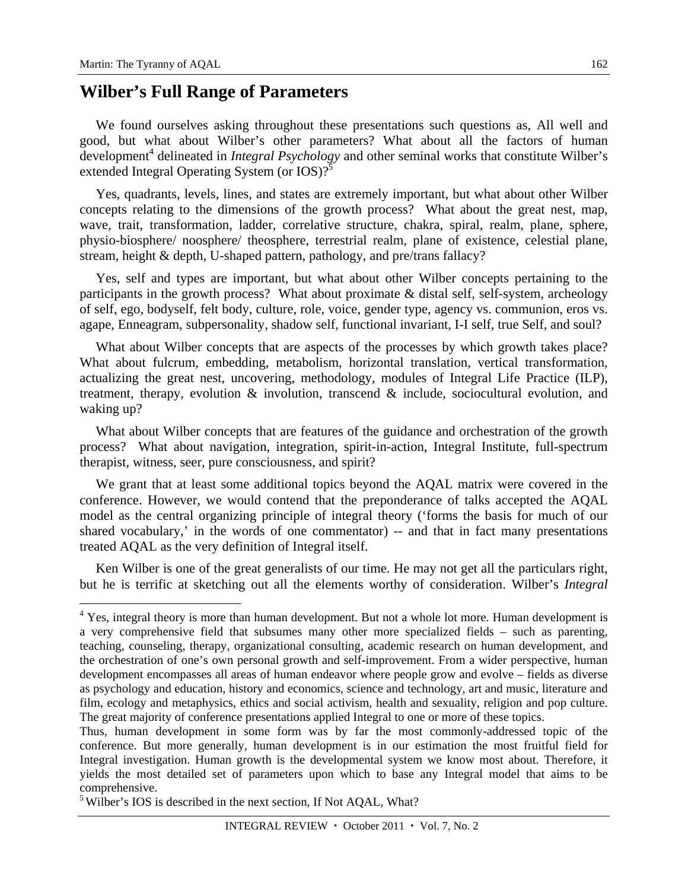$\overline{a}$ 

#### **Wilber's Full Range of Parameters**

We found ourselves asking throughout these presentations such questions as, All well and good, but what about Wilber's other parameters? What about all the factors of human development<sup>4</sup> delineated in *Integral Psychology* and other seminal works that constitute Wilber's extended Integral Operating System (or IOS)?<sup>5</sup>

Yes, quadrants, levels, lines, and states are extremely important, but what about other Wilber concepts relating to the dimensions of the growth process? What about the great nest, map, wave, trait, transformation, ladder, correlative structure, chakra, spiral, realm, plane, sphere, physio-biosphere/ noosphere/ theosphere, terrestrial realm, plane of existence, celestial plane, stream, height & depth, U-shaped pattern, pathology, and pre/trans fallacy?

Yes, self and types are important, but what about other Wilber concepts pertaining to the participants in the growth process? What about proximate & distal self, self-system, archeology of self, ego, bodyself, felt body, culture, role, voice, gender type, agency vs. communion, eros vs. agape, Enneagram, subpersonality, shadow self, functional invariant, I-I self, true Self, and soul?

What about Wilber concepts that are aspects of the processes by which growth takes place? What about fulcrum, embedding, metabolism, horizontal translation, vertical transformation, actualizing the great nest, uncovering, methodology, modules of Integral Life Practice (ILP), treatment, therapy, evolution & involution, transcend & include, sociocultural evolution, and waking up?

What about Wilber concepts that are features of the guidance and orchestration of the growth process? What about navigation, integration, spirit-in-action, Integral Institute, full-spectrum therapist, witness, seer, pure consciousness, and spirit?

We grant that at least some additional topics beyond the AQAL matrix were covered in the conference. However, we would contend that the preponderance of talks accepted the AQAL model as the central organizing principle of integral theory ('forms the basis for much of our shared vocabulary,' in the words of one commentator) -- and that in fact many presentations treated AQAL as the very definition of Integral itself.

Ken Wilber is one of the great generalists of our time. He may not get all the particulars right, but he is terrific at sketching out all the elements worthy of consideration. Wilber's *Integral* 

<sup>&</sup>lt;sup>4</sup> Yes, integral theory is more than human development. But not a whole lot more. Human development is a very comprehensive field that subsumes many other more specialized fields – such as parenting, teaching, counseling, therapy, organizational consulting, academic research on human development, and the orchestration of one's own personal growth and self-improvement. From a wider perspective, human development encompasses all areas of human endeavor where people grow and evolve – fields as diverse as psychology and education, history and economics, science and technology, art and music, literature and film, ecology and metaphysics, ethics and social activism, health and sexuality, religion and pop culture. The great majority of conference presentations applied Integral to one or more of these topics.

Thus, human development in some form was by far the most commonly-addressed topic of the conference. But more generally, human development is in our estimation the most fruitful field for Integral investigation. Human growth is the developmental system we know most about. Therefore, it yields the most detailed set of parameters upon which to base any Integral model that aims to be comprehensive.

<sup>&</sup>lt;sup>5</sup> Wilber's IOS is described in the next section, If Not AQAL, What?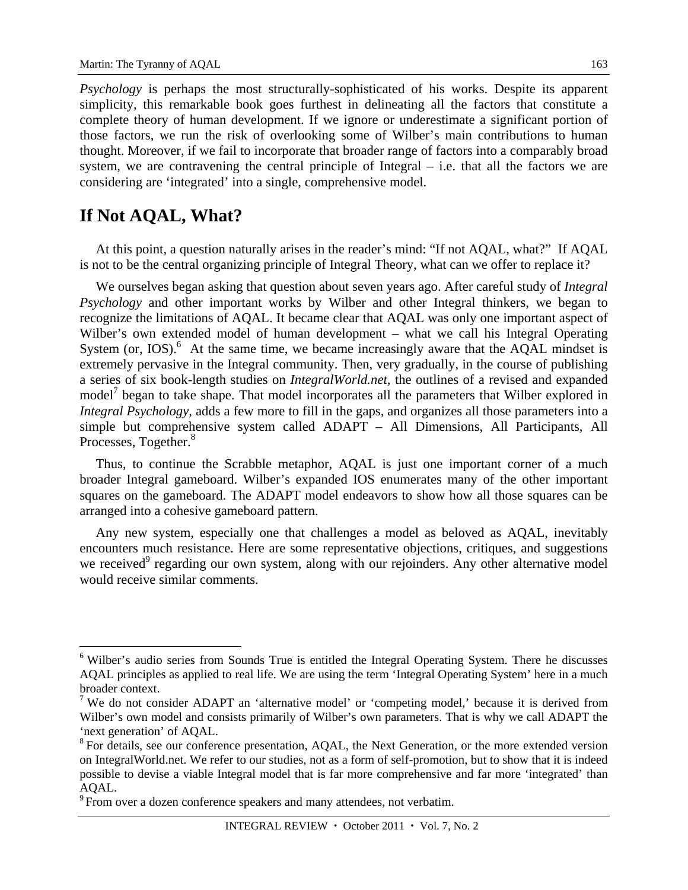*Psychology* is perhaps the most structurally-sophisticated of his works. Despite its apparent simplicity, this remarkable book goes furthest in delineating all the factors that constitute a complete theory of human development. If we ignore or underestimate a significant portion of those factors, we run the risk of overlooking some of Wilber's main contributions to human thought. Moreover, if we fail to incorporate that broader range of factors into a comparably broad system, we are contravening the central principle of Integral – i.e. that all the factors we are considering are 'integrated' into a single, comprehensive model.

#### **If Not AQAL, What?**

 $\overline{a}$ 

At this point, a question naturally arises in the reader's mind: "If not AQAL, what?" If AQAL is not to be the central organizing principle of Integral Theory, what can we offer to replace it?

We ourselves began asking that question about seven years ago. After careful study of *Integral Psychology* and other important works by Wilber and other Integral thinkers, we began to recognize the limitations of AQAL. It became clear that AQAL was only one important aspect of Wilber's own extended model of human development – what we call his Integral Operating System (or, IOS). $\,6\,$  At the same time, we became increasingly aware that the AQAL mindset is extremely pervasive in the Integral community. Then, very gradually, in the course of publishing a series of six book-length studies on *IntegralWorld.net*, the outlines of a revised and expanded model<sup>7</sup> began to take shape. That model incorporates all the parameters that Wilber explored in *Integral Psychology*, adds a few more to fill in the gaps, and organizes all those parameters into a simple but comprehensive system called ADAPT – All Dimensions, All Participants, All Processes, Together.<sup>8</sup>

Thus, to continue the Scrabble metaphor, AQAL is just one important corner of a much broader Integral gameboard. Wilber's expanded IOS enumerates many of the other important squares on the gameboard. The ADAPT model endeavors to show how all those squares can be arranged into a cohesive gameboard pattern.

Any new system, especially one that challenges a model as beloved as AQAL, inevitably encounters much resistance. Here are some representative objections, critiques, and suggestions we received<sup>9</sup> regarding our own system, along with our rejoinders. Any other alternative model would receive similar comments.

<sup>&</sup>lt;sup>6</sup> Wilber's audio series from Sounds True is entitled the Integral Operating System. There he discusses AQAL principles as applied to real life. We are using the term 'Integral Operating System' here in a much broader context.

<sup>&</sup>lt;sup>7</sup> We do not consider ADAPT an 'alternative model' or 'competing model,' because it is derived from Wilber's own model and consists primarily of Wilber's own parameters. That is why we call ADAPT the 'next generation' of AQAL.

<sup>&</sup>lt;sup>8</sup> For details, see our conference presentation, AQAL, the Next Generation, or the more extended version on IntegralWorld.net. We refer to our studies, not as a form of self-promotion, but to show that it is indeed possible to devise a viable Integral model that is far more comprehensive and far more 'integrated' than AQAL.

<sup>&</sup>lt;sup>9</sup> From over a dozen conference speakers and many attendees, not verbatim.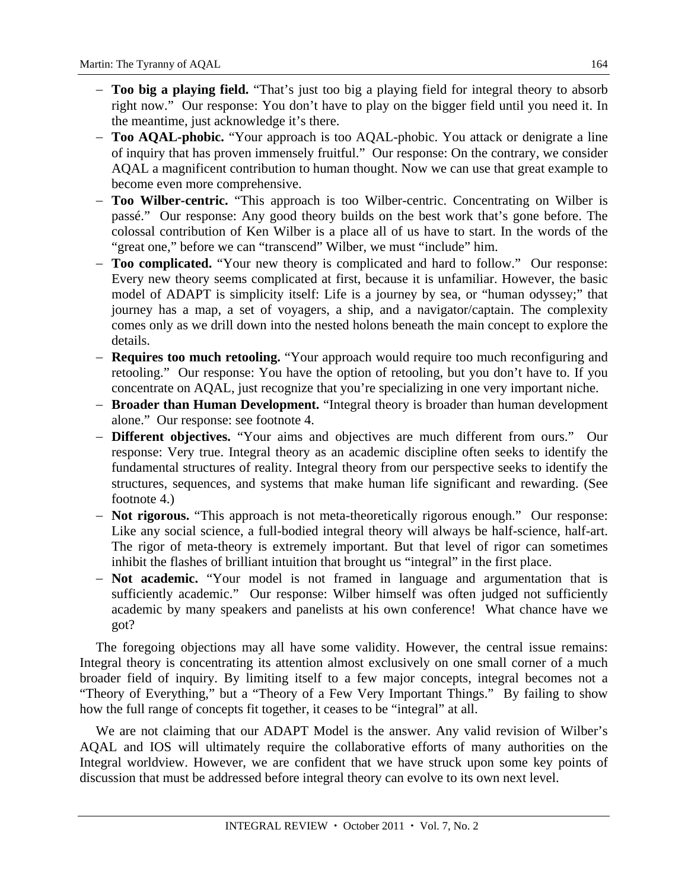- **Too big a playing field.** "That's just too big a playing field for integral theory to absorb right now." Our response: You don't have to play on the bigger field until you need it. In the meantime, just acknowledge it's there.
- **Too AQAL-phobic.** "Your approach is too AQAL-phobic. You attack or denigrate a line of inquiry that has proven immensely fruitful." Our response: On the contrary, we consider AQAL a magnificent contribution to human thought. Now we can use that great example to become even more comprehensive.
- **Too Wilber-centric.** "This approach is too Wilber-centric. Concentrating on Wilber is passé." Our response: Any good theory builds on the best work that's gone before. The colossal contribution of Ken Wilber is a place all of us have to start. In the words of the "great one," before we can "transcend" Wilber, we must "include" him.
- **Too complicated.** "Your new theory is complicated and hard to follow." Our response: Every new theory seems complicated at first, because it is unfamiliar. However, the basic model of ADAPT is simplicity itself: Life is a journey by sea, or "human odyssey;" that journey has a map, a set of voyagers, a ship, and a navigator/captain. The complexity comes only as we drill down into the nested holons beneath the main concept to explore the details.
- **Requires too much retooling.** "Your approach would require too much reconfiguring and retooling." Our response: You have the option of retooling, but you don't have to. If you concentrate on AQAL, just recognize that you're specializing in one very important niche.
- **Broader than Human Development.** "Integral theory is broader than human development alone." Our response: see footnote 4.
- **Different objectives.** "Your aims and objectives are much different from ours." Our response: Very true. Integral theory as an academic discipline often seeks to identify the fundamental structures of reality. Integral theory from our perspective seeks to identify the structures, sequences, and systems that make human life significant and rewarding. (See footnote 4.)
- **Not rigorous.** "This approach is not meta-theoretically rigorous enough." Our response: Like any social science, a full-bodied integral theory will always be half-science, half-art. The rigor of meta-theory is extremely important. But that level of rigor can sometimes inhibit the flashes of brilliant intuition that brought us "integral" in the first place.
- **Not academic.** "Your model is not framed in language and argumentation that is sufficiently academic." Our response: Wilber himself was often judged not sufficiently academic by many speakers and panelists at his own conference! What chance have we got?

The foregoing objections may all have some validity. However, the central issue remains: Integral theory is concentrating its attention almost exclusively on one small corner of a much broader field of inquiry. By limiting itself to a few major concepts, integral becomes not a "Theory of Everything," but a "Theory of a Few Very Important Things." By failing to show how the full range of concepts fit together, it ceases to be "integral" at all.

We are not claiming that our ADAPT Model is the answer. Any valid revision of Wilber's AQAL and IOS will ultimately require the collaborative efforts of many authorities on the Integral worldview. However, we are confident that we have struck upon some key points of discussion that must be addressed before integral theory can evolve to its own next level.